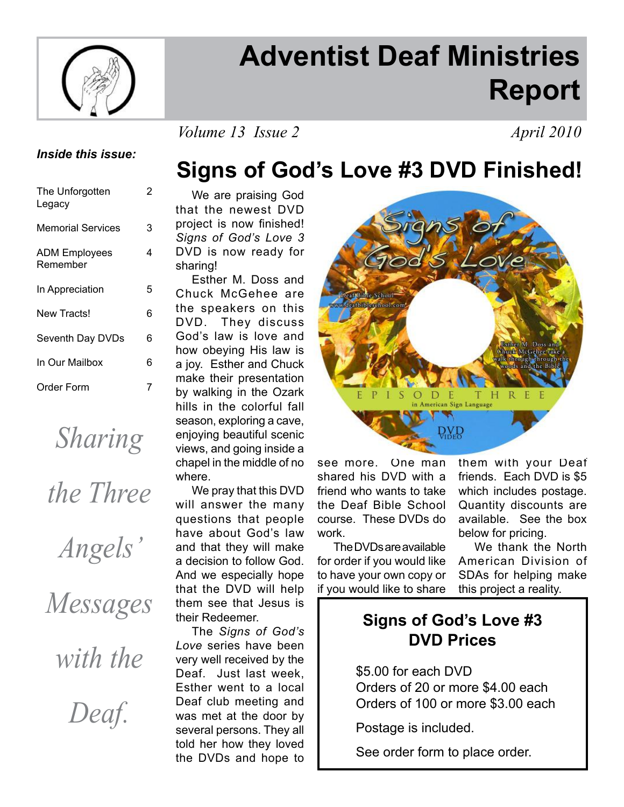

# **Adventist Deaf Ministries Report**

*Volume 13 Issue 2 April 2010* 

### *Inside this issue:*

| The Unforgotten<br>Legacy        | 2 |
|----------------------------------|---|
| <b>Memorial Services</b>         | 3 |
| <b>ADM Employees</b><br>Remember | 4 |
| In Appreciation                  | 5 |
| New Tracts!                      | 6 |
| Seventh Day DVDs                 | 6 |
| In Our Mailbox                   | 6 |
| Order Form                       | 7 |
|                                  |   |

*Sharing* 

*the Three* 

*Angels'* 

*Messages* 

*with the* 

*Deaf.*

 We are praising God **Signs of God's Love #3 DVD Finished!**

that the newest DVD project is now finished! *Signs of God's Love 3* DVD is now ready for sharing!

 Esther M. Doss and Chuck McGehee are the speakers on this DVD. They discuss God's law is love and how obeying His law is a joy. Esther and Chuck make their presentation by walking in the Ozark hills in the colorful fall season, exploring a cave, enjoying beautiful scenic views, and going inside a chapel in the middle of no where.

 We pray that this DVD will answer the many questions that people have about God's law and that they will make a decision to follow God. And we especially hope that the DVD will help them see that Jesus is their Redeemer.

 The *Signs of God's Love* series have been very well received by the Deaf. Just last week, Esther went to a local Deaf club meeting and was met at the door by several persons. They all told her how they loved the DVDs and hope to



see more. One man shared his DVD with a friend who wants to take the Deaf Bible School course. These DVDs do work.

 The DVDs are available for order if you would like to have your own copy or if you would like to share them with your Deaf friends. Each DVD is \$5 which includes postage. Quantity discounts are available. See the box below for pricing.

 We thank the North American Division of SDAs for helping make this project a reality.

### **Signs of God's Love #3 DVD Prices**

 \$5.00 for each DVD Orders of 20 or more \$4.00 each Orders of 100 or more \$3.00 each

Postage is included.

See order form to place order.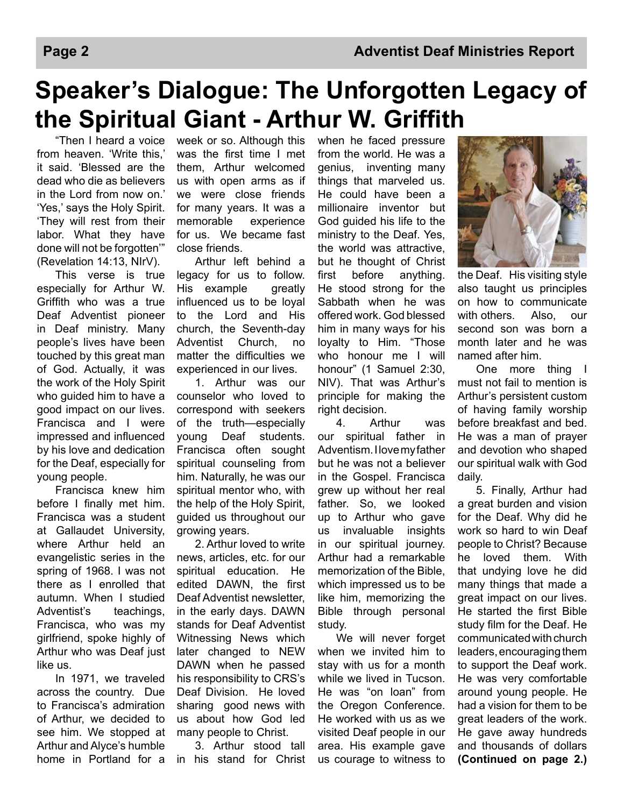# **Speaker's Dialogue: The Unforgotten Legacy of the Spiritual Giant - Arthur W. Griffith**

 "Then I heard a voice from heaven. 'Write this,' it said. 'Blessed are the dead who die as believers in the Lord from now on.' 'Yes,' says the Holy Spirit. 'They will rest from their labor. What they have done will not be forgotten'" (Revelation 14:13, NIrV).

 This verse is true especially for Arthur W. Griffith who was a true Deaf Adventist pioneer in Deaf ministry. Many people's lives have been touched by this great man of God. Actually, it was the work of the Holy Spirit who guided him to have a good impact on our lives. Francisca and I were impressed and influenced by his love and dedication for the Deaf, especially for young people.

 Francisca knew him before I finally met him. Francisca was a student at Gallaudet University, where Arthur held an evangelistic series in the spring of 1968. I was not there as I enrolled that autumn. When I studied Adventist's teachings, Francisca, who was my girlfriend, spoke highly of Arthur who was Deaf just like us.

 In 1971, we traveled across the country. Due to Francisca's admiration of Arthur, we decided to see him. We stopped at Arthur and Alyce's humble home in Portland for a

week or so. Although this was the first time I met them, Arthur welcomed us with open arms as if we were close friends for many years. It was a memorable experience for us. We became fast close friends.

 Arthur left behind a legacy for us to follow. His example greatly influenced us to be loyal to the Lord and His church, the Seventh-day Adventist Church, no matter the difficulties we experienced in our lives.

 1. Arthur was our counselor who loved to correspond with seekers of the truth—especially young Deaf students. Francisca often sought spiritual counseling from him. Naturally, he was our spiritual mentor who, with the help of the Holy Spirit, guided us throughout our growing years.

 2. Arthur loved to write news, articles, etc. for our spiritual education. He edited DAWN, the first Deaf Adventist newsletter, in the early days. DAWN stands for Deaf Adventist Witnessing News which later changed to NEW DAWN when he passed his responsibility to CRS's Deaf Division. He loved sharing good news with us about how God led many people to Christ.

 3. Arthur stood tall in his stand for Christ when he faced pressure from the world. He was a genius, inventing many things that marveled us. He could have been a millionaire inventor but God guided his life to the ministry to the Deaf. Yes, the world was attractive, but he thought of Christ first before anything. He stood strong for the Sabbath when he was offered work. God blessed him in many ways for his loyalty to Him. "Those who honour me I will honour" (1 Samuel 2:30, NIV). That was Arthur's principle for making the right decision.

 4. Arthur was our spiritual father in Adventism. I love my father but he was not a believer in the Gospel. Francisca grew up without her real father. So, we looked up to Arthur who gave us invaluable insights in our spiritual journey. Arthur had a remarkable memorization of the Bible, which impressed us to be like him, memorizing the Bible through personal study.

 We will never forget when we invited him to stay with us for a month while we lived in Tucson. He was "on loan" from the Oregon Conference. He worked with us as we visited Deaf people in our area. His example gave us courage to witness to



the Deaf. His visiting style also taught us principles on how to communicate with others. Also, our second son was born a month later and he was named after him.

 One more thing I must not fail to mention is Arthur's persistent custom of having family worship before breakfast and bed. He was a man of prayer and devotion who shaped our spiritual walk with God daily.

 5. Finally, Arthur had a great burden and vision for the Deaf. Why did he work so hard to win Deaf people to Christ? Because he loved them. With that undying love he did many things that made a great impact on our lives. He started the first Bible study film for the Deaf. He communicated with church leaders, encouraging them to support the Deaf work. He was very comfortable around young people. He had a vision for them to be great leaders of the work. He gave away hundreds and thousands of dollars **(Continued on page 2.)**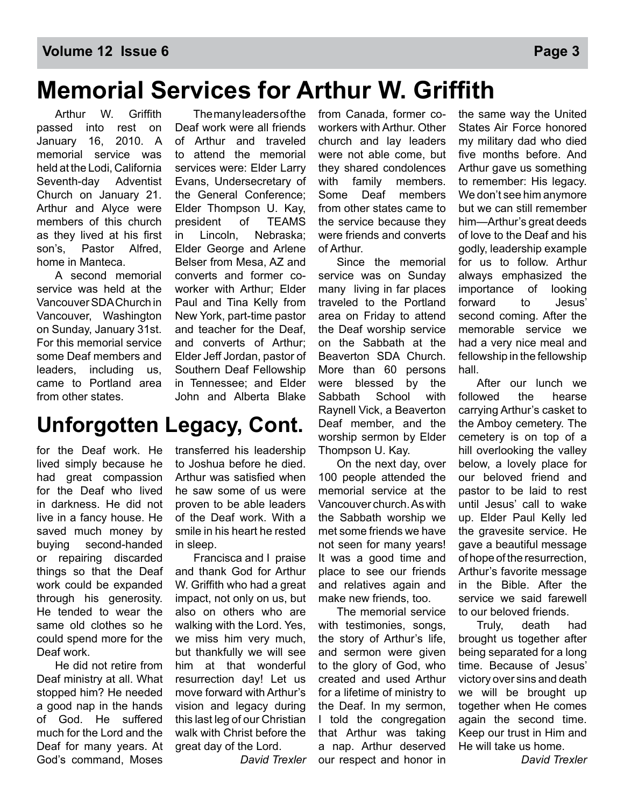### **Memorial Services for Arthur W. Griffith**

Arthur W. Griffith passed into rest on January 16, 2010. A memorial service was held at the Lodi, California Seventh-day Adventist Church on January 21. Arthur and Alyce were members of this church as they lived at his first son's, Pastor Alfred, home in Manteca.

A second memorial service was held at the Vancouver SDA Church in Vancouver, Washington on Sunday, January 31st. For this memorial service some Deaf members and leaders, including us, came to Portland area from other states.

 The many leaders of the Deaf work were all friends of Arthur and traveled to attend the memorial services were: Elder Larry Evans, Undersecretary of the General Conference; Elder Thompson U. Kay, president of TEAMS in Lincoln, Nebraska; Elder George and Arlene Belser from Mesa, AZ and converts and former coworker with Arthur; Elder Paul and Tina Kelly from New York, part-time pastor and teacher for the Deaf, and converts of Arthur; Elder Jeff Jordan, pastor of Southern Deaf Fellowship in Tennessee; and Elder John and Alberta Blake

### **Unforgotten Legacy, Cont.**

for the Deaf work. He lived simply because he had great compassion for the Deaf who lived in darkness. He did not live in a fancy house. He saved much money by buying second-handed or repairing discarded things so that the Deaf work could be expanded through his generosity. He tended to wear the same old clothes so he could spend more for the Deaf work.

 He did not retire from Deaf ministry at all. What stopped him? He needed a good nap in the hands of God. He suffered much for the Lord and the Deaf for many years. At God's command, Moses

transferred his leadership to Joshua before he died. Arthur was satisfied when he saw some of us were proven to be able leaders of the Deaf work. With a smile in his heart he rested in sleep.

 Francisca and I praise and thank God for Arthur W. Griffith who had a great impact, not only on us, but also on others who are walking with the Lord. Yes, we miss him very much, but thankfully we will see him at that wonderful resurrection day! Let us move forward with Arthur's vision and legacy during this last leg of our Christian walk with Christ before the great day of the Lord.

*David Trexler*

from Canada, former coworkers with Arthur. Other church and lay leaders were not able come, but they shared condolences with family members. Some Deaf members from other states came to the service because they were friends and converts of Arthur.

 Since the memorial service was on Sunday many living in far places traveled to the Portland area on Friday to attend the Deaf worship service on the Sabbath at the Beaverton SDA Church. More than 60 persons were blessed by the Sabbath School with Raynell Vick, a Beaverton Deaf member, and the worship sermon by Elder Thompson U. Kay.

 On the next day, over 100 people attended the memorial service at the Vancouver church. As with the Sabbath worship we met some friends we have not seen for many years! It was a good time and place to see our friends and relatives again and make new friends, too.

 The memorial service with testimonies, songs, the story of Arthur's life, and sermon were given to the glory of God, who created and used Arthur for a lifetime of ministry to the Deaf. In my sermon, I told the congregation that Arthur was taking a nap. Arthur deserved our respect and honor in

the same way the United States Air Force honored my military dad who died five months before. And Arthur gave us something to remember: His legacy. We don't see him anymore but we can still remember him—Arthur's great deeds of love to the Deaf and his godly, leadership example for us to follow. Arthur always emphasized the importance of looking forward to Jesus' second coming. After the memorable service we had a very nice meal and fellowship in the fellowship hall.

 After our lunch we followed the hearse carrying Arthur's casket to the Amboy cemetery. The cemetery is on top of a hill overlooking the valley below, a lovely place for our beloved friend and pastor to be laid to rest until Jesus' call to wake up. Elder Paul Kelly led the gravesite service. He gave a beautiful message of hope of the resurrection, Arthur's favorite message in the Bible. After the service we said farewell to our beloved friends.

 Truly, death had brought us together after being separated for a long time. Because of Jesus' victory over sins and death we will be brought up together when He comes again the second time. Keep our trust in Him and He will take us home.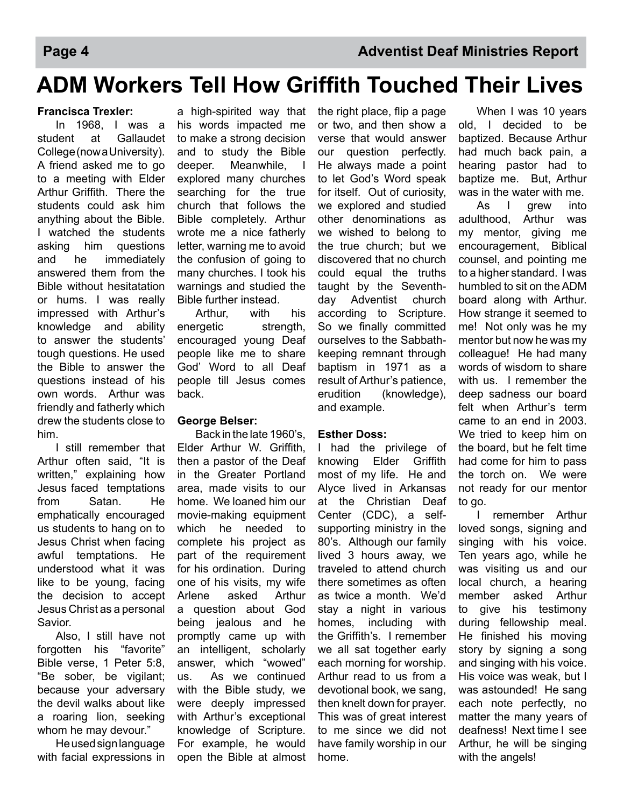### **ADM Workers Tell How Griffith Touched Their Lives**

#### **Francisca Trexler:**

 In 1968, I was a student at Gallaudet College (now a University). A friend asked me to go to a meeting with Elder Arthur Griffith. There the students could ask him anything about the Bible. I watched the students asking him questions and he immediately answered them from the Bible without hesitatation or hums. I was really impressed with Arthur's knowledge and ability to answer the students' tough questions. He used the Bible to answer the questions instead of his own words. Arthur was friendly and fatherly which drew the students close to him.

 I still remember that Arthur often said, "It is written," explaining how Jesus faced temptations from Satan. He emphatically encouraged us students to hang on to Jesus Christ when facing awful temptations. He understood what it was like to be young, facing the decision to accept Jesus Christ as a personal Savior.

 Also, I still have not forgotten his "favorite" Bible verse, 1 Peter 5:8, "Be sober, be vigilant; because your adversary the devil walks about like a roaring lion, seeking whom he may devour."

 He used sign language with facial expressions in

a high-spirited way that his words impacted me to make a strong decision and to study the Bible deeper. Meanwhile, I explored many churches searching for the true church that follows the Bible completely. Arthur wrote me a nice fatherly letter, warning me to avoid the confusion of going to many churches. I took his warnings and studied the Bible further instead.

 Arthur, with his energetic strength, encouraged young Deaf people like me to share God' Word to all Deaf people till Jesus comes back.

#### **George Belser:**

 Back in the late 1960's, Elder Arthur W. Griffith, then a pastor of the Deaf in the Greater Portland area, made visits to our home. We loaned him our movie-making equipment which he needed to complete his project as part of the requirement for his ordination. During one of his visits, my wife Arlene asked Arthur a question about God being jealous and he promptly came up with an intelligent, scholarly answer, which "wowed" us. As we continued with the Bible study, we were deeply impressed with Arthur's exceptional knowledge of Scripture. For example, he would open the Bible at almost the right place, flip a page or two, and then show a verse that would answer our question perfectly. He always made a point to let God's Word speak for itself. Out of curiosity, we explored and studied other denominations as we wished to belong to the true church; but we discovered that no church could equal the truths taught by the Seventhday Adventist church according to Scripture. So we finally committed ourselves to the Sabbathkeeping remnant through baptism in 1971 as a result of Arthur's patience, erudition (knowledge), and example.

### **Esther Doss:**

I had the privilege of knowing Elder Griffith most of my life. He and Alyce lived in Arkansas at the Christian Deaf Center (CDC), a selfsupporting ministry in the 80's. Although our family lived 3 hours away, we traveled to attend church there sometimes as often as twice a month. We'd stay a night in various homes, including with the Griffith's. I remember we all sat together early each morning for worship. Arthur read to us from a devotional book, we sang, then knelt down for prayer. This was of great interest to me since we did not have family worship in our home.

 When I was 10 years old, I decided to be baptized. Because Arthur had much back pain, a hearing pastor had to baptize me. But, Arthur was in the water with me.

 As I grew into adulthood, Arthur was my mentor, giving me encouragement, Biblical counsel, and pointing me to a higher standard. I was humbled to sit on the ADM board along with Arthur. How strange it seemed to me! Not only was he my mentor but now he was my colleague! He had many words of wisdom to share with us. I remember the deep sadness our board felt when Arthur's term came to an end in 2003. We tried to keep him on the board, but he felt time had come for him to pass the torch on. We were not ready for our mentor to go.

 I remember Arthur loved songs, signing and singing with his voice. Ten years ago, while he was visiting us and our local church, a hearing member asked Arthur to give his testimony during fellowship meal. He finished his moving story by signing a song and singing with his voice. His voice was weak, but I was astounded! He sang each note perfectly, no matter the many years of deafness! Next time I see Arthur, he will be singing with the angels!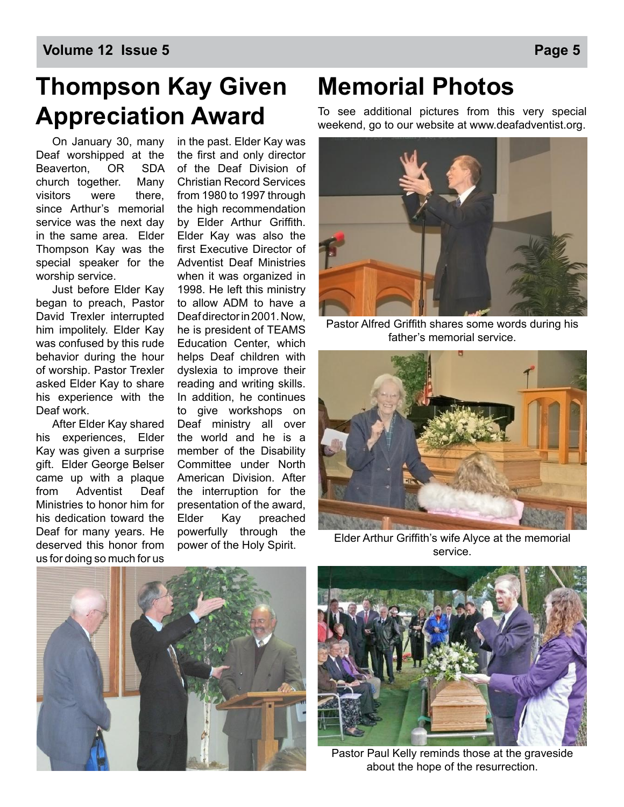# **Thompson Kay Given Appreciation Award**

On January 30, many Deaf worshipped at the Beaverton, OR SDA church together. Many visitors were there, since Arthur's memorial service was the next day in the same area. Elder Thompson Kay was the special speaker for the worship service.

Just before Elder Kay began to preach, Pastor David Trexler interrupted him impolitely. Elder Kay was confused by this rude behavior during the hour of worship. Pastor Trexler asked Elder Kay to share his experience with the Deaf work.

After Elder Kay shared his experiences, Elder Kay was given a surprise gift. Elder George Belser came up with a plaque from Adventist Deaf Ministries to honor him for his dedication toward the Deaf for many years. He deserved this honor from us for doing so much for us

in the past. Elder Kay was the first and only director of the Deaf Division of Christian Record Services from 1980 to 1997 through the high recommendation by Elder Arthur Griffith. Elder Kay was also the first Executive Director of Adventist Deaf Ministries when it was organized in 1998. He left this ministry to allow ADM to have a Deaf director in 2001. Now, he is president of TEAMS Education Center, which helps Deaf children with dyslexia to improve their reading and writing skills. In addition, he continues to give workshops on Deaf ministry all over the world and he is a member of the Disability Committee under North American Division. After the interruption for the presentation of the award, Elder Kay preached powerfully through the power of the Holy Spirit.

## **Memorial Photos**

To see additional pictures from this very special weekend, go to our website at www.deafadventist.org.



Pastor Alfred Griffith shares some words during his father's memorial service.



Elder Arthur Griffith's wife Alyce at the memorial service.





Pastor Paul Kelly reminds those at the graveside about the hope of the resurrection.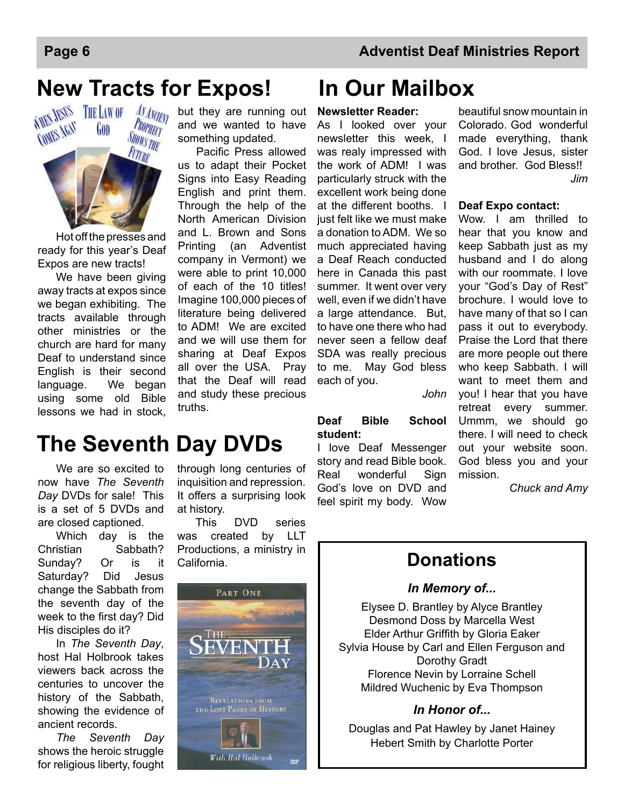## **New Tracts for Expos! In Our Mailbox**



 Hot off the presses and ready for this year's Deaf Expos are new tracts!

We have been giving away tracts at expos since we began exhibiting. The tracts available through other ministries or the church are hard for many Deaf to understand since English is their second language. We began using some old Bible lessons we had in stock,

but they are running out and we wanted to have something updated.

Pacific Press allowed us to adapt their Pocket Signs into Easy Reading English and print them. Through the help of the North American Division and L. Brown and Sons Printing (an Adventist company in Vermont) we were able to print 10,000 of each of the 10 titles! Imagine 100,000 pieces of literature being delivered to ADM! We are excited and we will use them for sharing at Deaf Expos all over the USA. Pray that the Deaf will read and study these precious truths.

### **The Seventh Day DVDs**

 We are so excited to now have *The Seventh Day* DVDs for sale! This is a set of 5 DVDs and are closed captioned.

 Which day is the Christian Sabbath? Sunday? Or is it Saturday? Did Jesus change the Sabbath from the seventh day of the week to the first day? Did His disciples do it?

 In *The Seventh Day*, host Hal Holbrook takes viewers back across the centuries to uncover the history of the Sabbath, showing the evidence of ancient records.

*The Seventh Day* shows the heroic struggle for religious liberty, fought through long centuries of inquisition and repression. It offers a surprising look at history.

 This DVD series was created by LLT Productions, a ministry in California.



#### **Newsletter Reader:**

As I looked over your newsletter this week, I was realy impressed with the work of ADM! I was particularly struck with the excellent work being done at the different booths. I just felt like we must make a donation to ADM. We so much appreciated having a Deaf Reach conducted here in Canada this past summer. It went over very well, even if we didn't have a large attendance. But, to have one there who had never seen a fellow deaf SDA was really precious to me. May God bless each of you.

*John*

#### **Deaf Bible School student:**

I love Deaf Messenger story and read Bible book. Real wonderful Sign God's love on DVD and feel spirit my body. Wow

beautiful snow mountain in Colorado. God wonderful made everything, thank God. I love Jesus, sister and brother. God Bless! *Jim*

#### **Deaf Expo contact:**

Wow. I am thrilled to hear that you know and keep Sabbath just as my husband and I do along with our roommate. I love your "God's Day of Rest" brochure. I would love to have many of that so I can pass it out to everybody. Praise the Lord that there are more people out there who keep Sabbath. I will want to meet them and you! I hear that you have retreat every summer. Ummm, we should go there. I will need to check out your website soon. God bless you and your mission.

*Chuck and Amy*

### **Donations**

### *In Memory of...*

Elysee D. Brantley by Alyce Brantley Desmond Doss by Marcella West Elder Arthur Griffith by Gloria Eaker Sylvia House by Carl and Ellen Ferguson and Dorothy Gradt Florence Nevin by Lorraine Schell Mildred Wuchenic by Eva Thompson

### *In Honor of...*

Douglas and Pat Hawley by Janet Hainey Hebert Smith by Charlotte Porter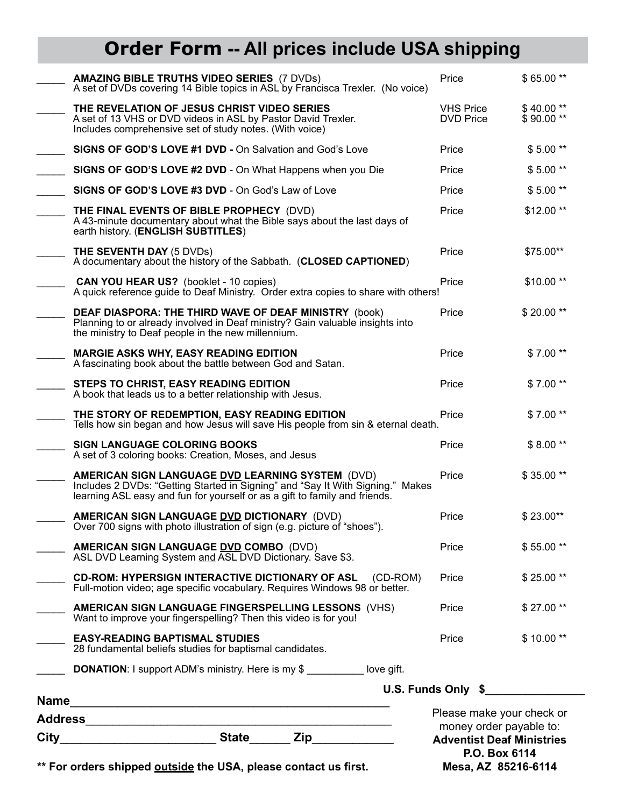### **Order Form -- All prices include USA shipping**

| City | money order payable to:<br><b>State</b><br><b>Zip</b> and the set of the set of the set of the set of the set of the set of the set of the set of the set of the set of the set of the set of the set of the set of the set of the set of the set of the set of the set of the<br><b>Adventist Deaf Ministries</b><br>P.O. Box 6114<br>** For orders shipped outside the USA, please contact us first.<br>Mesa, AZ 85216-6114 |                                      |                         |
|------|-------------------------------------------------------------------------------------------------------------------------------------------------------------------------------------------------------------------------------------------------------------------------------------------------------------------------------------------------------------------------------------------------------------------------------|--------------------------------------|-------------------------|
|      |                                                                                                                                                                                                                                                                                                                                                                                                                               | Please make your check or            |                         |
|      | <b>DONATION:</b> I support ADM's ministry. Here is my \$                                                                                                                                                                                                                                                                                                                                                                      | U.S. Funds Only \$                   |                         |
|      | <b>EASY-READING BAPTISMAL STUDIES</b><br>28 fundamental beliefs studies for baptismal candidates.                                                                                                                                                                                                                                                                                                                             | Price                                | $$10.00**$              |
|      | <b>AMERICAN SIGN LANGUAGE FINGERSPELLING LESSONS (VHS)</b><br>Want to improve your fingerspelling? Then this video is for you!                                                                                                                                                                                                                                                                                                | Price                                | \$27.00**               |
|      | <b>CD-ROM: HYPERSIGN INTERACTIVE DICTIONARY OF ASL</b><br>(CD-ROM)<br>Full-motion video; age specific vocabulary. Requires Windows 98 or better.                                                                                                                                                                                                                                                                              | Price                                | $$25.00**$              |
|      | <b>AMERICAN SIGN LANGUAGE DVD COMBO (DVD)</b><br>ASL DVD Learning System and ASL DVD Dictionary. Save \$3.                                                                                                                                                                                                                                                                                                                    | Price                                | \$55.00**               |
|      | AMERICAN SIGN LANGUAGE DVD DICTIONARY (DVD)<br>Over 700 signs with photo illustration of sign (e.g. picture of "shoes").                                                                                                                                                                                                                                                                                                      | Price                                | \$23.00**               |
|      | AMERICAN SIGN LANGUAGE DVD LEARNING SYSTEM (DVD)<br>Includes 2 DVDs: "Getting Started in Signing" and "Say It With Signing." Makes<br>learning ASL easy and fun for yourself or as a gift to family and friends.                                                                                                                                                                                                              | Price                                | \$35.00**               |
|      | <b>SIGN LANGUAGE COLORING BOOKS</b><br>A set of 3 coloring books: Creation, Moses, and Jesus                                                                                                                                                                                                                                                                                                                                  | Price                                | $$8.00**$               |
|      | THE STORY OF REDEMPTION, EASY READING EDITION<br>Tells how sin began and how Jesus will save His people from sin & eternal death.                                                                                                                                                                                                                                                                                             | Price                                | \$7.00**                |
|      | STEPS TO CHRIST, EASY READING EDITION<br>A book that leads us to a better relationship with Jesus.                                                                                                                                                                                                                                                                                                                            | Price                                | $$7.00**$               |
|      | <b>MARGIE ASKS WHY, EASY READING EDITION</b><br>A fascinating book about the battle between God and Satan.                                                                                                                                                                                                                                                                                                                    | Price                                | \$7.00**                |
|      | <b>DEAF DIASPORA: THE THIRD WAVE OF DEAF MINISTRY (book)</b><br>Planning to or already involved in Deaf ministry? Gain valuable insights into<br>the ministry to Deaf people in the new millennium.                                                                                                                                                                                                                           | Price                                | \$20.00**               |
|      | <b>CAN YOU HEAR US?</b> (booklet - 10 copies)<br>A quick reference guide to Deaf Ministry. Order extra copies to share with others!                                                                                                                                                                                                                                                                                           | Price                                | $$10.00**$              |
|      | <b>THE SEVENTH DAY (5 DVDs)</b><br>A documentary about the history of the Sabbath. (CLOSED CAPTIONED)                                                                                                                                                                                                                                                                                                                         | Price                                | \$75.00**               |
|      | THE FINAL EVENTS OF BIBLE PROPHECY (DVD)<br>A 43-minute documentary about what the Bible says about the last days of<br>earth history. (ENGLISH SUBTITLES)                                                                                                                                                                                                                                                                    | Price                                | \$12.00**               |
|      | SIGNS OF GOD'S LOVE #3 DVD - On God's Law of Love                                                                                                                                                                                                                                                                                                                                                                             | Price                                | $$5.00**$               |
|      | SIGNS OF GOD'S LOVE #2 DVD - On What Happens when you Die                                                                                                                                                                                                                                                                                                                                                                     | Price                                | $$5.00**$               |
|      | <b>SIGNS OF GOD'S LOVE #1 DVD - On Salvation and God's Love</b>                                                                                                                                                                                                                                                                                                                                                               | Price                                | $$5.00**$               |
|      | THE REVELATION OF JESUS CHRIST VIDEO SERIES<br>A set of 13 VHS or DVD videos in ASL by Pastor David Trexler.<br>Includes comprehensive set of study notes. (With voice)                                                                                                                                                                                                                                                       | <b>VHS Price</b><br><b>DVD Price</b> | $$40.00**$<br>\$90.00** |
|      | <b>AMAZING BIBLE TRUTHS VIDEO SERIES (7 DVDs)</b><br>A set of DVDs covering 14 Bible topics in ASL by Francisca Trexler. (No voice)                                                                                                                                                                                                                                                                                           | Price                                | $$65.00**$              |